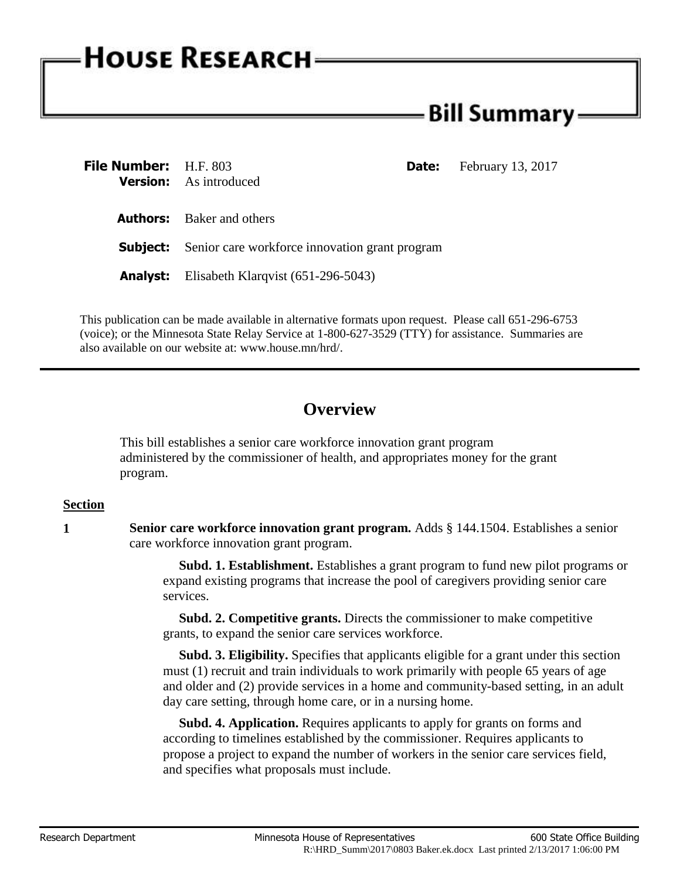# **HOUSE RESEARCH**

## Bill Summary: -

| <b>File Number:</b> H.F. 803 | <b>Version:</b> As introduced                                  | <b>February 13, 2017</b><br><b>Date:</b> |
|------------------------------|----------------------------------------------------------------|------------------------------------------|
|                              | <b>Authors:</b> Baker and others                               |                                          |
|                              | <b>Subject:</b> Senior care workforce innovation grant program |                                          |
| Analyst:                     | Elisabeth Klarqvist $(651-296-5043)$                           |                                          |

This publication can be made available in alternative formats upon request. Please call 651-296-6753 (voice); or the Minnesota State Relay Service at 1-800-627-3529 (TTY) for assistance. Summaries are also available on our website at: www.house.mn/hrd/.

## **Overview**

This bill establishes a senior care workforce innovation grant program administered by the commissioner of health, and appropriates money for the grant program.

### **Section**

**1 Senior care workforce innovation grant program.** Adds § 144.1504. Establishes a senior care workforce innovation grant program.

> **Subd. 1. Establishment.** Establishes a grant program to fund new pilot programs or expand existing programs that increase the pool of caregivers providing senior care services.

**Subd. 2. Competitive grants.** Directs the commissioner to make competitive grants, to expand the senior care services workforce.

 **Subd. 3. Eligibility.** Specifies that applicants eligible for a grant under this section must (1) recruit and train individuals to work primarily with people 65 years of age and older and (2) provide services in a home and community-based setting, in an adult day care setting, through home care, or in a nursing home.

 **Subd. 4. Application.** Requires applicants to apply for grants on forms and according to timelines established by the commissioner. Requires applicants to propose a project to expand the number of workers in the senior care services field, and specifies what proposals must include.